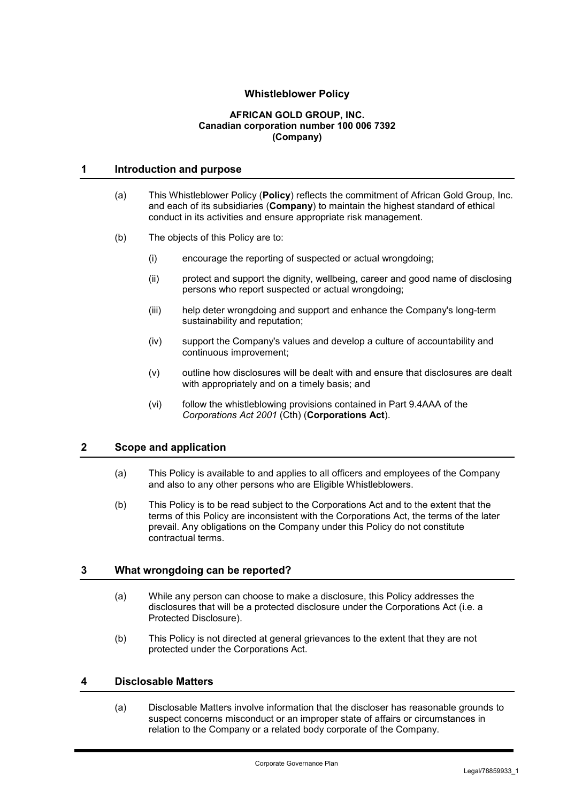# **Whistleblower Policy**

#### **AFRICAN GOLD GROUP, INC. Canadian corporation number 100 006 7392 (Company)**

## **1 Introduction and purpose**

- (a) This Whistleblower Policy (**Policy**) reflects the commitment of African Gold Group, Inc. and each of its subsidiaries (**Company**) to maintain the highest standard of ethical conduct in its activities and ensure appropriate risk management.
- (b) The objects of this Policy are to:
	- (i) encourage the reporting of suspected or actual wrongdoing;
	- (ii) protect and support the dignity, wellbeing, career and good name of disclosing persons who report suspected or actual wrongdoing;
	- (iii) help deter wrongdoing and support and enhance the Company's long-term sustainability and reputation;
	- (iv) support the Company's values and develop a culture of accountability and continuous improvement;
	- (v) outline how disclosures will be dealt with and ensure that disclosures are dealt with appropriately and on a timely basis; and
	- (vi) follow the whistleblowing provisions contained in Part 9.4AAA of the *Corporations Act 2001* (Cth) (**Corporations Act**).

#### **2 Scope and application**

- (a) This Policy is available to and applies to all officers and employees of the Company and also to any other persons who are Eligible Whistleblowers.
- (b) This Policy is to be read subject to the Corporations Act and to the extent that the terms of this Policy are inconsistent with the Corporations Act, the terms of the later prevail. Any obligations on the Company under this Policy do not constitute contractual terms.

#### **3 What wrongdoing can be reported?**

- (a) While any person can choose to make a disclosure, this Policy addresses the disclosures that will be a protected disclosure under the Corporations Act (i.e. a Protected Disclosure).
- (b) This Policy is not directed at general grievances to the extent that they are not protected under the Corporations Act.

## **4 Disclosable Matters**

(a) Disclosable Matters involve information that the discloser has reasonable grounds to suspect concerns misconduct or an improper state of affairs or circumstances in relation to the Company or a related body corporate of the Company.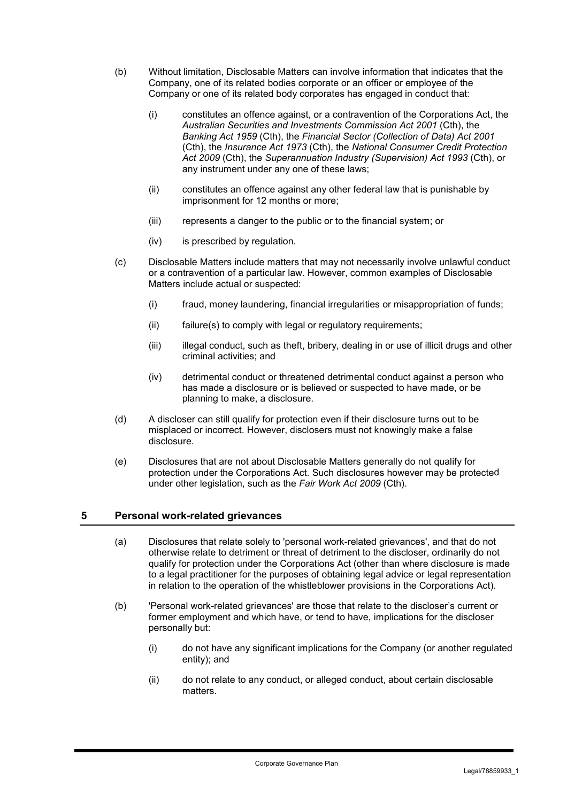- (b) Without limitation, Disclosable Matters can involve information that indicates that the Company, one of its related bodies corporate or an officer or employee of the Company or one of its related body corporates has engaged in conduct that:
	- (i) constitutes an offence against, or a contravention of the Corporations Act, the *Australian Securities and Investments Commission Act 2001* (Cth), the *Banking Act 1959* (Cth), the *Financial Sector (Collection of Data) Act 2001* (Cth), the *Insurance Act 1973* (Cth), the *National Consumer Credit Protection Act 2009* (Cth), the *Superannuation Industry (Supervision) Act 1993* (Cth), or any instrument under any one of these laws;
	- (ii) constitutes an offence against any other federal law that is punishable by imprisonment for 12 months or more;
	- (iii) represents a danger to the public or to the financial system; or
	- (iv) is prescribed by regulation.
- (c) Disclosable Matters include matters that may not necessarily involve unlawful conduct or a contravention of a particular law. However, common examples of Disclosable Matters include actual or suspected:
	- (i) fraud, money laundering, financial irregularities or misappropriation of funds;
	- (ii) failure(s) to comply with legal or regulatory requirements;
	- (iii) illegal conduct, such as theft, bribery, dealing in or use of illicit drugs and other criminal activities; and
	- (iv) detrimental conduct or threatened detrimental conduct against a person who has made a disclosure or is believed or suspected to have made, or be planning to make, a disclosure.
- (d) A discloser can still qualify for protection even if their disclosure turns out to be misplaced or incorrect. However, disclosers must not knowingly make a false disclosure.
- (e) Disclosures that are not about Disclosable Matters generally do not qualify for protection under the Corporations Act. Such disclosures however may be protected under other legislation, such as the *Fair Work Act 2009* (Cth).

## **5 Personal work-related grievances**

- (a) Disclosures that relate solely to 'personal work-related grievances', and that do not otherwise relate to detriment or threat of detriment to the discloser, ordinarily do not qualify for protection under the Corporations Act (other than where disclosure is made to a legal practitioner for the purposes of obtaining legal advice or legal representation in relation to the operation of the whistleblower provisions in the Corporations Act).
- (b) 'Personal work-related grievances' are those that relate to the discloser's current or former employment and which have, or tend to have, implications for the discloser personally but:
	- (i) do not have any significant implications for the Company (or another regulated entity); and
	- (ii) do not relate to any conduct, or alleged conduct, about certain disclosable matters.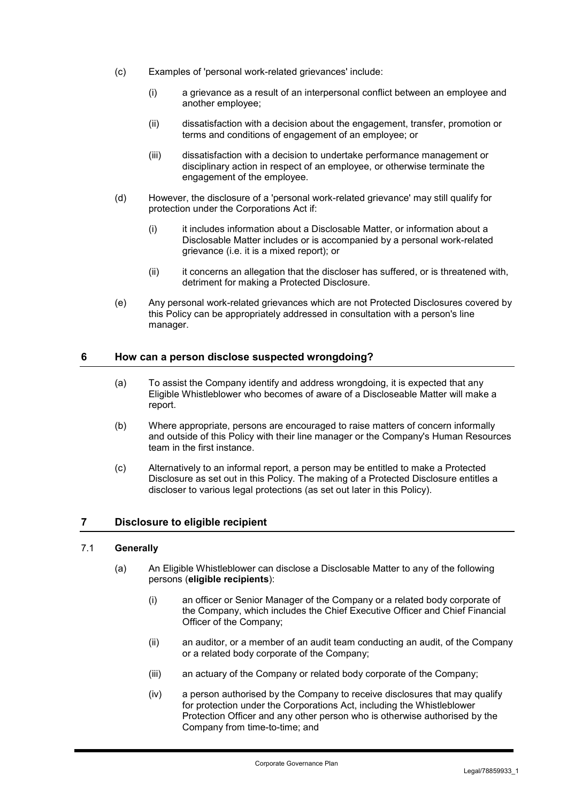- (c) Examples of 'personal work-related grievances' include:
	- (i) a grievance as a result of an interpersonal conflict between an employee and another employee;
	- (ii) dissatisfaction with a decision about the engagement, transfer, promotion or terms and conditions of engagement of an employee; or
	- (iii) dissatisfaction with a decision to undertake performance management or disciplinary action in respect of an employee, or otherwise terminate the engagement of the employee.
- (d) However, the disclosure of a 'personal work-related grievance' may still qualify for protection under the Corporations Act if:
	- (i) it includes information about a Disclosable Matter, or information about a Disclosable Matter includes or is accompanied by a personal work-related grievance (i.e. it is a mixed report); or
	- (ii) it concerns an allegation that the discloser has suffered, or is threatened with, detriment for making a Protected Disclosure.
- (e) Any personal work-related grievances which are not Protected Disclosures covered by this Policy can be appropriately addressed in consultation with a person's line manager.

### **6 How can a person disclose suspected wrongdoing?**

- (a) To assist the Company identify and address wrongdoing, it is expected that any Eligible Whistleblower who becomes of aware of a Discloseable Matter will make a report.
- (b) Where appropriate, persons are encouraged to raise matters of concern informally and outside of this Policy with their line manager or the Company's Human Resources team in the first instance.
- (c) Alternatively to an informal report, a person may be entitled to make a Protected Disclosure as set out in this Policy. The making of a Protected Disclosure entitles a discloser to various legal protections (as set out later in this Policy).

#### **7 Disclosure to eligible recipient**

### 7.1 **Generally**

- (a) An Eligible Whistleblower can disclose a Disclosable Matter to any of the following persons (**eligible recipients**):
	- (i) an officer or Senior Manager of the Company or a related body corporate of the Company, which includes the Chief Executive Officer and Chief Financial Officer of the Company;
	- (ii) an auditor, or a member of an audit team conducting an audit, of the Company or a related body corporate of the Company;
	- (iii) an actuary of the Company or related body corporate of the Company;
	- (iv) a person authorised by the Company to receive disclosures that may qualify for protection under the Corporations Act, including the Whistleblower Protection Officer and any other person who is otherwise authorised by the Company from time-to-time; and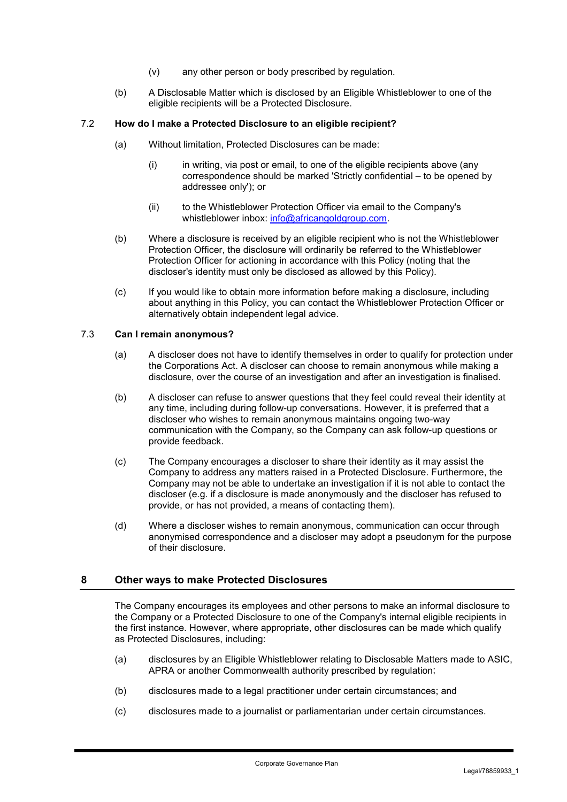- (v) any other person or body prescribed by regulation.
- (b) A Disclosable Matter which is disclosed by an Eligible Whistleblower to one of the eligible recipients will be a Protected Disclosure.

## 7.2 **How do I make a Protected Disclosure to an eligible recipient?**

- (a) Without limitation, Protected Disclosures can be made:
	- $(i)$  in writing, via post or email, to one of the eligible recipients above (any correspondence should be marked 'Strictly confidential – to be opened by addressee only'); or
	- (ii) to the Whistleblower Protection Officer via email to the Company's whistleblower inbox: info@africangoldgroup.com.
- (b) Where a disclosure is received by an eligible recipient who is not the Whistleblower Protection Officer, the disclosure will ordinarily be referred to the Whistleblower Protection Officer for actioning in accordance with this Policy (noting that the discloser's identity must only be disclosed as allowed by this Policy).
- (c) If you would like to obtain more information before making a disclosure, including about anything in this Policy, you can contact the Whistleblower Protection Officer or alternatively obtain independent legal advice.

### 7.3 **Can I remain anonymous?**

- (a) A discloser does not have to identify themselves in order to qualify for protection under the Corporations Act. A discloser can choose to remain anonymous while making a disclosure, over the course of an investigation and after an investigation is finalised.
- (b) A discloser can refuse to answer questions that they feel could reveal their identity at any time, including during follow-up conversations. However, it is preferred that a discloser who wishes to remain anonymous maintains ongoing two-way communication with the Company, so the Company can ask follow-up questions or provide feedback.
- (c) The Company encourages a discloser to share their identity as it may assist the Company to address any matters raised in a Protected Disclosure. Furthermore, the Company may not be able to undertake an investigation if it is not able to contact the discloser (e.g. if a disclosure is made anonymously and the discloser has refused to provide, or has not provided, a means of contacting them).
- (d) Where a discloser wishes to remain anonymous, communication can occur through anonymised correspondence and a discloser may adopt a pseudonym for the purpose of their disclosure.

## **8 Other ways to make Protected Disclosures**

The Company encourages its employees and other persons to make an informal disclosure to the Company or a Protected Disclosure to one of the Company's internal eligible recipients in the first instance. However, where appropriate, other disclosures can be made which qualify as Protected Disclosures, including:

- (a) disclosures by an Eligible Whistleblower relating to Disclosable Matters made to ASIC, APRA or another Commonwealth authority prescribed by regulation;
- (b) disclosures made to a legal practitioner under certain circumstances; and
- (c) disclosures made to a journalist or parliamentarian under certain circumstances.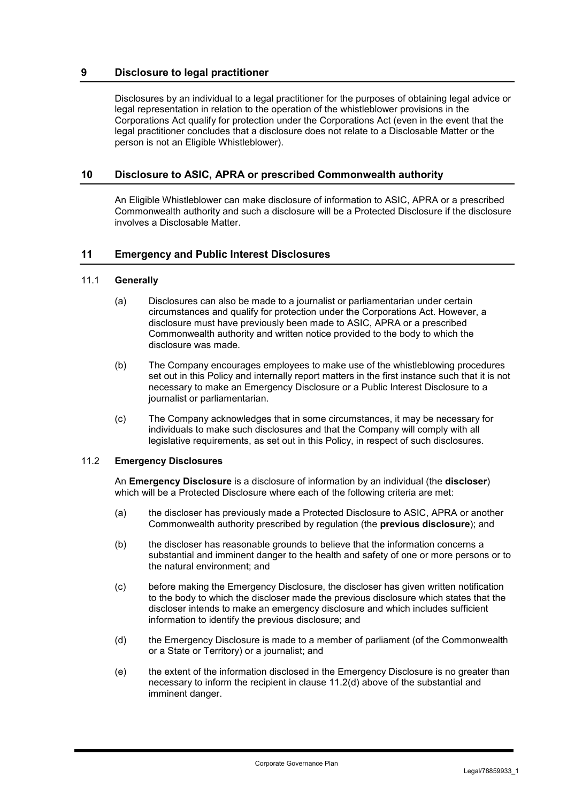## **9 Disclosure to legal practitioner**

Disclosures by an individual to a legal practitioner for the purposes of obtaining legal advice or legal representation in relation to the operation of the whistleblower provisions in the Corporations Act qualify for protection under the Corporations Act (even in the event that the legal practitioner concludes that a disclosure does not relate to a Disclosable Matter or the person is not an Eligible Whistleblower).

## **10 Disclosure to ASIC, APRA or prescribed Commonwealth authority**

An Eligible Whistleblower can make disclosure of information to ASIC, APRA or a prescribed Commonwealth authority and such a disclosure will be a Protected Disclosure if the disclosure involves a Disclosable Matter.

## **11 Emergency and Public Interest Disclosures**

### 11.1 **Generally**

- (a) Disclosures can also be made to a journalist or parliamentarian under certain circumstances and qualify for protection under the Corporations Act. However, a disclosure must have previously been made to ASIC, APRA or a prescribed Commonwealth authority and written notice provided to the body to which the disclosure was made.
- (b) The Company encourages employees to make use of the whistleblowing procedures set out in this Policy and internally report matters in the first instance such that it is not necessary to make an Emergency Disclosure or a Public Interest Disclosure to a journalist or parliamentarian.
- (c) The Company acknowledges that in some circumstances, it may be necessary for individuals to make such disclosures and that the Company will comply with all legislative requirements, as set out in this Policy, in respect of such disclosures.

## 11.2 **Emergency Disclosures**

An **Emergency Disclosure** is a disclosure of information by an individual (the **discloser**) which will be a Protected Disclosure where each of the following criteria are met:

- (a) the discloser has previously made a Protected Disclosure to ASIC, APRA or another Commonwealth authority prescribed by regulation (the **previous disclosure**); and
- (b) the discloser has reasonable grounds to believe that the information concerns a substantial and imminent danger to the health and safety of one or more persons or to the natural environment; and
- (c) before making the Emergency Disclosure, the discloser has given written notification to the body to which the discloser made the previous disclosure which states that the discloser intends to make an emergency disclosure and which includes sufficient information to identify the previous disclosure; and
- (d) the Emergency Disclosure is made to a member of parliament (of the Commonwealth or a State or Territory) or a journalist; and
- (e) the extent of the information disclosed in the Emergency Disclosure is no greater than necessary to inform the recipient in clause 11.2(d) above of the substantial and imminent danger.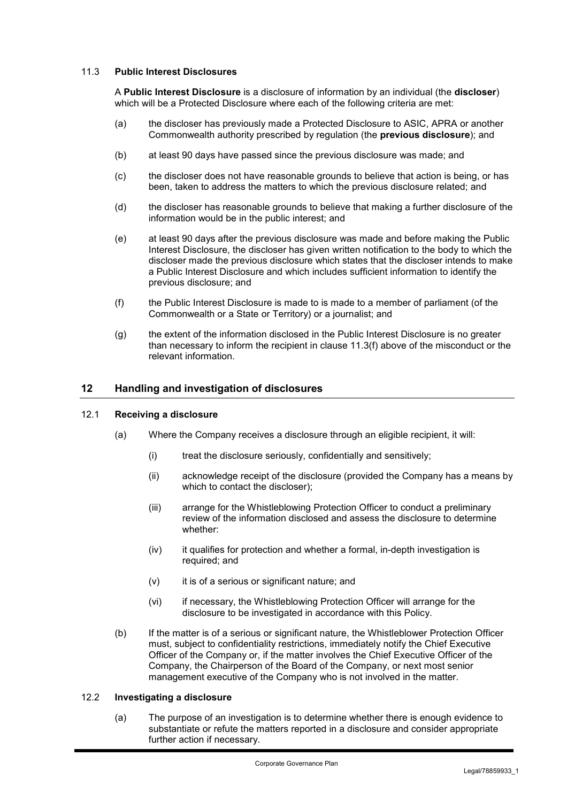## 11.3 **Public Interest Disclosures**

A **Public Interest Disclosure** is a disclosure of information by an individual (the **discloser**) which will be a Protected Disclosure where each of the following criteria are met:

- (a) the discloser has previously made a Protected Disclosure to ASIC, APRA or another Commonwealth authority prescribed by regulation (the **previous disclosure**); and
- (b) at least 90 days have passed since the previous disclosure was made; and
- (c) the discloser does not have reasonable grounds to believe that action is being, or has been, taken to address the matters to which the previous disclosure related; and
- (d) the discloser has reasonable grounds to believe that making a further disclosure of the information would be in the public interest; and
- (e) at least 90 days after the previous disclosure was made and before making the Public Interest Disclosure, the discloser has given written notification to the body to which the discloser made the previous disclosure which states that the discloser intends to make a Public Interest Disclosure and which includes sufficient information to identify the previous disclosure; and
- (f) the Public Interest Disclosure is made to is made to a member of parliament (of the Commonwealth or a State or Territory) or a journalist; and
- (g) the extent of the information disclosed in the Public Interest Disclosure is no greater than necessary to inform the recipient in clause 11.3(f) above of the misconduct or the relevant information.

## **12 Handling and investigation of disclosures**

#### 12.1 **Receiving a disclosure**

- (a) Where the Company receives a disclosure through an eligible recipient, it will:
	- (i) treat the disclosure seriously, confidentially and sensitively;
	- (ii) acknowledge receipt of the disclosure (provided the Company has a means by which to contact the discloser);
	- (iii) arrange for the Whistleblowing Protection Officer to conduct a preliminary review of the information disclosed and assess the disclosure to determine whether:
	- (iv) it qualifies for protection and whether a formal, in-depth investigation is required; and
	- (v) it is of a serious or significant nature; and
	- (vi) if necessary, the Whistleblowing Protection Officer will arrange for the disclosure to be investigated in accordance with this Policy.
- (b) If the matter is of a serious or significant nature, the Whistleblower Protection Officer must, subject to confidentiality restrictions, immediately notify the Chief Executive Officer of the Company or, if the matter involves the Chief Executive Officer of the Company, the Chairperson of the Board of the Company, or next most senior management executive of the Company who is not involved in the matter.

#### 12.2 **Investigating a disclosure**

(a) The purpose of an investigation is to determine whether there is enough evidence to substantiate or refute the matters reported in a disclosure and consider appropriate further action if necessary.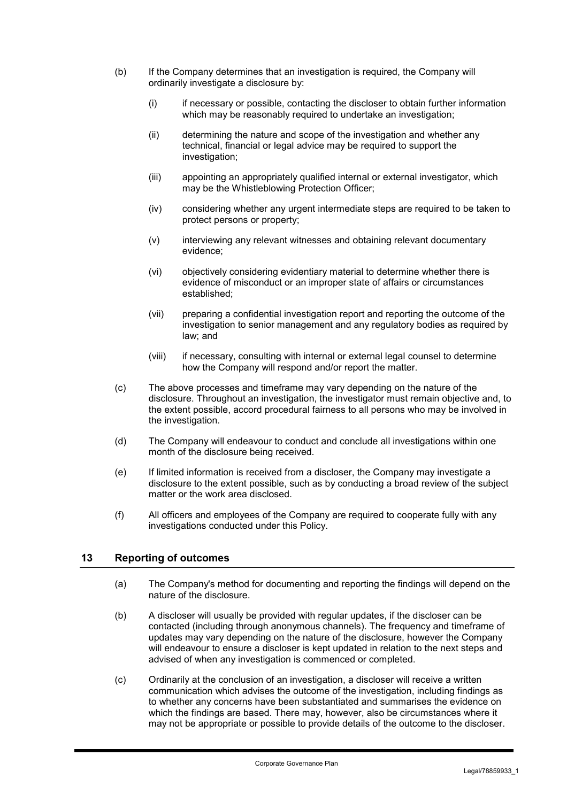- (b) If the Company determines that an investigation is required, the Company will ordinarily investigate a disclosure by:
	- (i) if necessary or possible, contacting the discloser to obtain further information which may be reasonably required to undertake an investigation;
	- (ii) determining the nature and scope of the investigation and whether any technical, financial or legal advice may be required to support the investigation;
	- (iii) appointing an appropriately qualified internal or external investigator, which may be the Whistleblowing Protection Officer;
	- (iv) considering whether any urgent intermediate steps are required to be taken to protect persons or property;
	- (v) interviewing any relevant witnesses and obtaining relevant documentary evidence;
	- (vi) objectively considering evidentiary material to determine whether there is evidence of misconduct or an improper state of affairs or circumstances established;
	- (vii) preparing a confidential investigation report and reporting the outcome of the investigation to senior management and any regulatory bodies as required by law; and
	- (viii) if necessary, consulting with internal or external legal counsel to determine how the Company will respond and/or report the matter.
- (c) The above processes and timeframe may vary depending on the nature of the disclosure. Throughout an investigation, the investigator must remain objective and, to the extent possible, accord procedural fairness to all persons who may be involved in the investigation.
- (d) The Company will endeavour to conduct and conclude all investigations within one month of the disclosure being received.
- (e) If limited information is received from a discloser, the Company may investigate a disclosure to the extent possible, such as by conducting a broad review of the subject matter or the work area disclosed.
- (f) All officers and employees of the Company are required to cooperate fully with any investigations conducted under this Policy.

## **13 Reporting of outcomes**

- (a) The Company's method for documenting and reporting the findings will depend on the nature of the disclosure.
- (b) A discloser will usually be provided with regular updates, if the discloser can be contacted (including through anonymous channels). The frequency and timeframe of updates may vary depending on the nature of the disclosure, however the Company will endeavour to ensure a discloser is kept updated in relation to the next steps and advised of when any investigation is commenced or completed.
- (c) Ordinarily at the conclusion of an investigation, a discloser will receive a written communication which advises the outcome of the investigation, including findings as to whether any concerns have been substantiated and summarises the evidence on which the findings are based. There may, however, also be circumstances where it may not be appropriate or possible to provide details of the outcome to the discloser.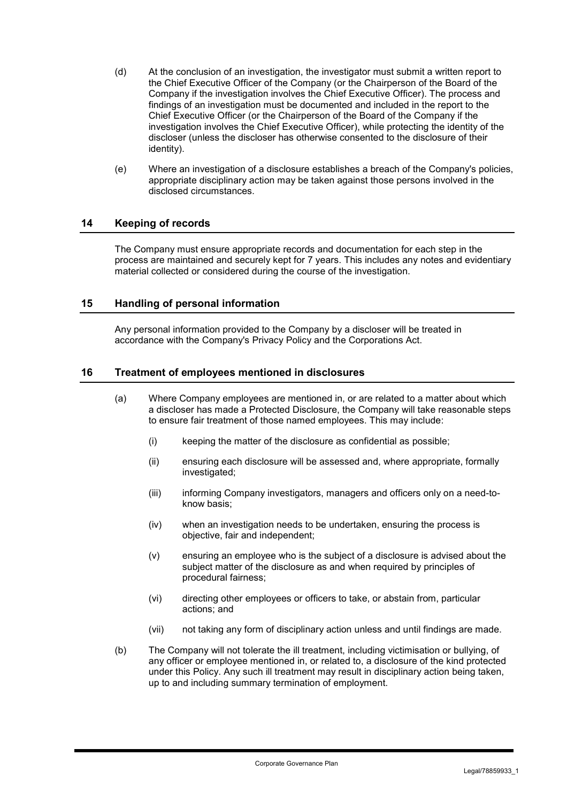- (d) At the conclusion of an investigation, the investigator must submit a written report to the Chief Executive Officer of the Company (or the Chairperson of the Board of the Company if the investigation involves the Chief Executive Officer). The process and findings of an investigation must be documented and included in the report to the Chief Executive Officer (or the Chairperson of the Board of the Company if the investigation involves the Chief Executive Officer), while protecting the identity of the discloser (unless the discloser has otherwise consented to the disclosure of their identity).
- (e) Where an investigation of a disclosure establishes a breach of the Company's policies, appropriate disciplinary action may be taken against those persons involved in the disclosed circumstances.

## **14 Keeping of records**

The Company must ensure appropriate records and documentation for each step in the process are maintained and securely kept for 7 years. This includes any notes and evidentiary material collected or considered during the course of the investigation.

## **15 Handling of personal information**

Any personal information provided to the Company by a discloser will be treated in accordance with the Company's Privacy Policy and the Corporations Act.

### **16 Treatment of employees mentioned in disclosures**

- (a) Where Company employees are mentioned in, or are related to a matter about which a discloser has made a Protected Disclosure, the Company will take reasonable steps to ensure fair treatment of those named employees. This may include:
	- (i) keeping the matter of the disclosure as confidential as possible;
	- (ii) ensuring each disclosure will be assessed and, where appropriate, formally investigated;
	- (iii) informing Company investigators, managers and officers only on a need-toknow basis;
	- (iv) when an investigation needs to be undertaken, ensuring the process is objective, fair and independent;
	- (v) ensuring an employee who is the subject of a disclosure is advised about the subject matter of the disclosure as and when required by principles of procedural fairness;
	- (vi) directing other employees or officers to take, or abstain from, particular actions; and
	- (vii) not taking any form of disciplinary action unless and until findings are made.
- (b) The Company will not tolerate the ill treatment, including victimisation or bullying, of any officer or employee mentioned in, or related to, a disclosure of the kind protected under this Policy. Any such ill treatment may result in disciplinary action being taken, up to and including summary termination of employment.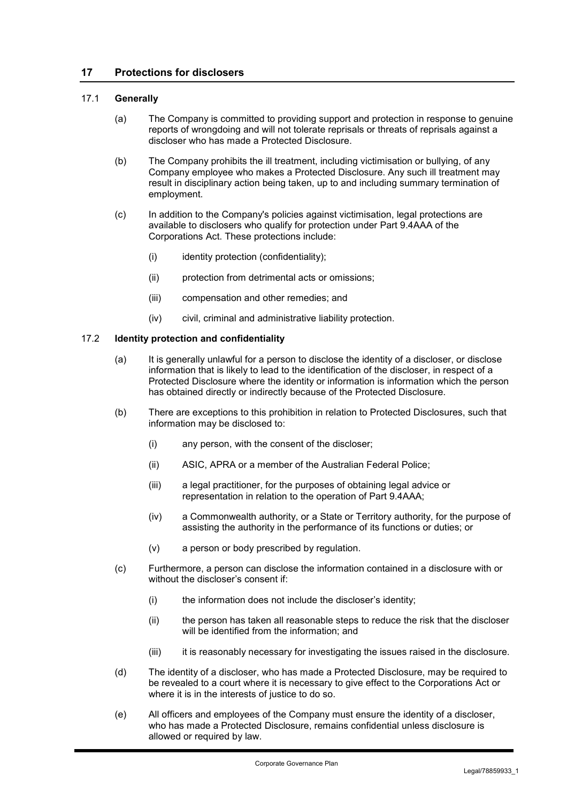## **17 Protections for disclosers**

### 17.1 **Generally**

- (a) The Company is committed to providing support and protection in response to genuine reports of wrongdoing and will not tolerate reprisals or threats of reprisals against a discloser who has made a Protected Disclosure.
- (b) The Company prohibits the ill treatment, including victimisation or bullying, of any Company employee who makes a Protected Disclosure. Any such ill treatment may result in disciplinary action being taken, up to and including summary termination of employment.
- (c) In addition to the Company's policies against victimisation, legal protections are available to disclosers who qualify for protection under Part 9.4AAA of the Corporations Act. These protections include:
	- $(i)$  identity protection (confidentiality);
	- (ii) protection from detrimental acts or omissions;
	- (iii) compensation and other remedies; and
	- (iv) civil, criminal and administrative liability protection.

## 17.2 **Identity protection and confidentiality**

- (a) It is generally unlawful for a person to disclose the identity of a discloser, or disclose information that is likely to lead to the identification of the discloser, in respect of a Protected Disclosure where the identity or information is information which the person has obtained directly or indirectly because of the Protected Disclosure.
- (b) There are exceptions to this prohibition in relation to Protected Disclosures, such that information may be disclosed to:
	- (i) any person, with the consent of the discloser;
	- (ii) ASIC, APRA or a member of the Australian Federal Police;
	- (iii) a legal practitioner, for the purposes of obtaining legal advice or representation in relation to the operation of Part 9.4AAA;
	- (iv) a Commonwealth authority, or a State or Territory authority, for the purpose of assisting the authority in the performance of its functions or duties; or
	- (v) a person or body prescribed by regulation.
- (c) Furthermore, a person can disclose the information contained in a disclosure with or without the discloser's consent if:
	- (i) the information does not include the discloser's identity;
	- (ii) the person has taken all reasonable steps to reduce the risk that the discloser will be identified from the information; and
	- (iii) it is reasonably necessary for investigating the issues raised in the disclosure.
- (d) The identity of a discloser, who has made a Protected Disclosure, may be required to be revealed to a court where it is necessary to give effect to the Corporations Act or where it is in the interests of justice to do so.
- (e) All officers and employees of the Company must ensure the identity of a discloser, who has made a Protected Disclosure, remains confidential unless disclosure is allowed or required by law.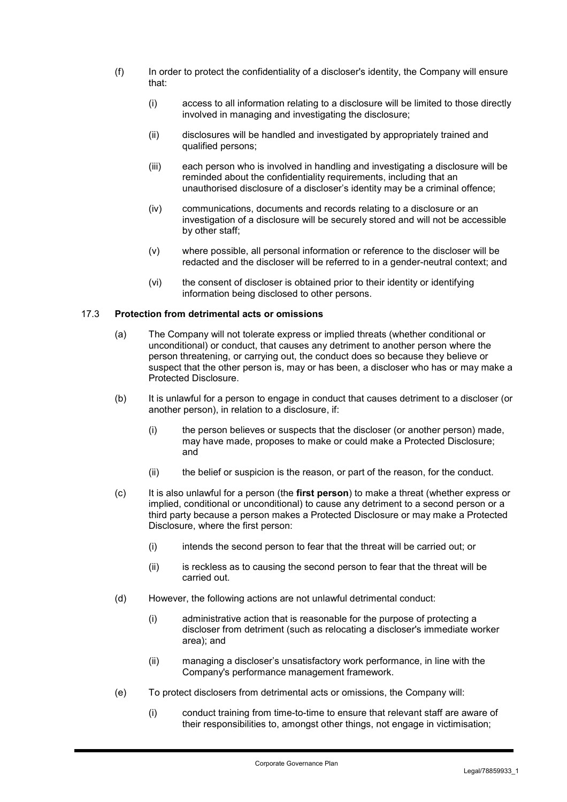- (f) In order to protect the confidentiality of a discloser's identity, the Company will ensure that:
	- (i) access to all information relating to a disclosure will be limited to those directly involved in managing and investigating the disclosure;
	- (ii) disclosures will be handled and investigated by appropriately trained and qualified persons;
	- (iii) each person who is involved in handling and investigating a disclosure will be reminded about the confidentiality requirements, including that an unauthorised disclosure of a discloser's identity may be a criminal offence;
	- (iv) communications, documents and records relating to a disclosure or an investigation of a disclosure will be securely stored and will not be accessible by other staff;
	- (v) where possible, all personal information or reference to the discloser will be redacted and the discloser will be referred to in a gender-neutral context; and
	- (vi) the consent of discloser is obtained prior to their identity or identifying information being disclosed to other persons.

### 17.3 **Protection from detrimental acts or omissions**

- (a) The Company will not tolerate express or implied threats (whether conditional or unconditional) or conduct, that causes any detriment to another person where the person threatening, or carrying out, the conduct does so because they believe or suspect that the other person is, may or has been, a discloser who has or may make a Protected Disclosure.
- (b) It is unlawful for a person to engage in conduct that causes detriment to a discloser (or another person), in relation to a disclosure, if:
	- (i) the person believes or suspects that the discloser (or another person) made, may have made, proposes to make or could make a Protected Disclosure; and
	- (ii) the belief or suspicion is the reason, or part of the reason, for the conduct.
- (c) It is also unlawful for a person (the **first person**) to make a threat (whether express or implied, conditional or unconditional) to cause any detriment to a second person or a third party because a person makes a Protected Disclosure or may make a Protected Disclosure, where the first person:
	- (i) intends the second person to fear that the threat will be carried out; or
	- (ii) is reckless as to causing the second person to fear that the threat will be carried out.
- (d) However, the following actions are not unlawful detrimental conduct:
	- (i) administrative action that is reasonable for the purpose of protecting a discloser from detriment (such as relocating a discloser's immediate worker area); and
	- (ii) managing a discloser's unsatisfactory work performance, in line with the Company's performance management framework.
- (e) To protect disclosers from detrimental acts or omissions, the Company will:
	- (i) conduct training from time-to-time to ensure that relevant staff are aware of their responsibilities to, amongst other things, not engage in victimisation;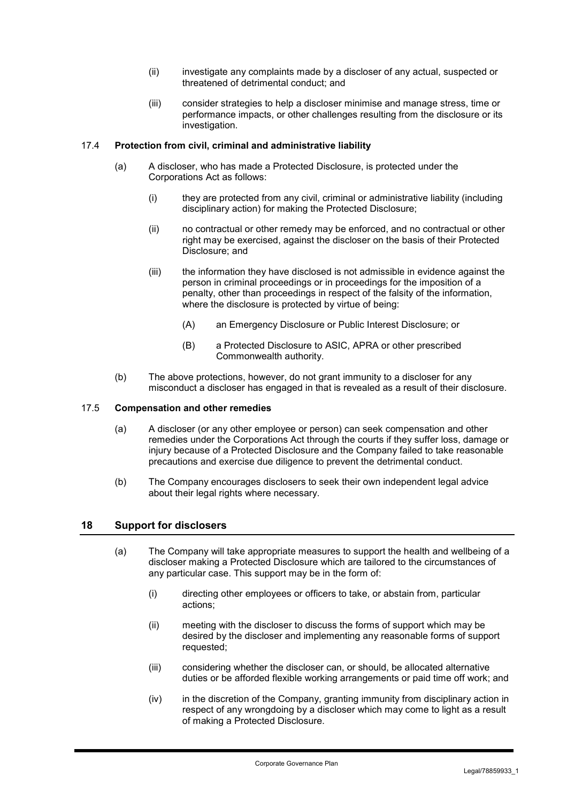- (ii) investigate any complaints made by a discloser of any actual, suspected or threatened of detrimental conduct; and
- (iii) consider strategies to help a discloser minimise and manage stress, time or performance impacts, or other challenges resulting from the disclosure or its investigation.

## 17.4 **Protection from civil, criminal and administrative liability**

- (a) A discloser, who has made a Protected Disclosure, is protected under the Corporations Act as follows:
	- (i) they are protected from any civil, criminal or administrative liability (including disciplinary action) for making the Protected Disclosure;
	- (ii) no contractual or other remedy may be enforced, and no contractual or other right may be exercised, against the discloser on the basis of their Protected Disclosure; and
	- (iii) the information they have disclosed is not admissible in evidence against the person in criminal proceedings or in proceedings for the imposition of a penalty, other than proceedings in respect of the falsity of the information, where the disclosure is protected by virtue of being:
		- (A) an Emergency Disclosure or Public Interest Disclosure; or
		- (B) a Protected Disclosure to ASIC, APRA or other prescribed Commonwealth authority.
- (b) The above protections, however, do not grant immunity to a discloser for any misconduct a discloser has engaged in that is revealed as a result of their disclosure.

#### 17.5 **Compensation and other remedies**

- (a) A discloser (or any other employee or person) can seek compensation and other remedies under the Corporations Act through the courts if they suffer loss, damage or injury because of a Protected Disclosure and the Company failed to take reasonable precautions and exercise due diligence to prevent the detrimental conduct.
- (b) The Company encourages disclosers to seek their own independent legal advice about their legal rights where necessary.

## **18 Support for disclosers**

- (a) The Company will take appropriate measures to support the health and wellbeing of a discloser making a Protected Disclosure which are tailored to the circumstances of any particular case. This support may be in the form of:
	- (i) directing other employees or officers to take, or abstain from, particular actions;
	- (ii) meeting with the discloser to discuss the forms of support which may be desired by the discloser and implementing any reasonable forms of support requested;
	- (iii) considering whether the discloser can, or should, be allocated alternative duties or be afforded flexible working arrangements or paid time off work; and
	- (iv) in the discretion of the Company, granting immunity from disciplinary action in respect of any wrongdoing by a discloser which may come to light as a result of making a Protected Disclosure.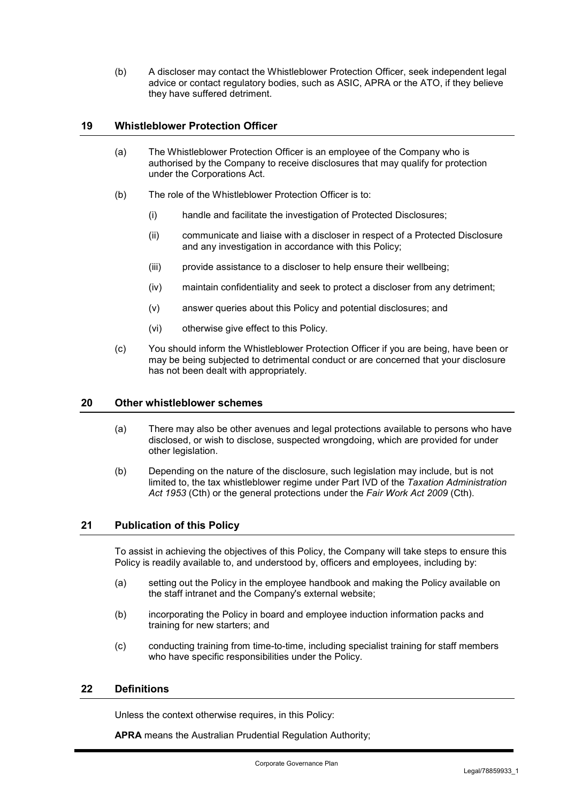(b) A discloser may contact the Whistleblower Protection Officer, seek independent legal advice or contact regulatory bodies, such as ASIC, APRA or the ATO, if they believe they have suffered detriment.

## **19 Whistleblower Protection Officer**

- (a) The Whistleblower Protection Officer is an employee of the Company who is authorised by the Company to receive disclosures that may qualify for protection under the Corporations Act.
- (b) The role of the Whistleblower Protection Officer is to:
	- (i) handle and facilitate the investigation of Protected Disclosures;
	- (ii) communicate and liaise with a discloser in respect of a Protected Disclosure and any investigation in accordance with this Policy;
	- (iii) provide assistance to a discloser to help ensure their wellbeing;
	- (iv) maintain confidentiality and seek to protect a discloser from any detriment;
	- (v) answer queries about this Policy and potential disclosures; and
	- (vi) otherwise give effect to this Policy.
- (c) You should inform the Whistleblower Protection Officer if you are being, have been or may be being subjected to detrimental conduct or are concerned that your disclosure has not been dealt with appropriately.

### **20 Other whistleblower schemes**

- (a) There may also be other avenues and legal protections available to persons who have disclosed, or wish to disclose, suspected wrongdoing, which are provided for under other legislation.
- (b) Depending on the nature of the disclosure, such legislation may include, but is not limited to, the tax whistleblower regime under Part IVD of the *Taxation Administration Act 1953* (Cth) or the general protections under the *Fair Work Act 2009* (Cth).

## **21 Publication of this Policy**

To assist in achieving the objectives of this Policy, the Company will take steps to ensure this Policy is readily available to, and understood by, officers and employees, including by:

- (a) setting out the Policy in the employee handbook and making the Policy available on the staff intranet and the Company's external website;
- (b) incorporating the Policy in board and employee induction information packs and training for new starters; and
- (c) conducting training from time-to-time, including specialist training for staff members who have specific responsibilities under the Policy.

# **22 Definitions**

Unless the context otherwise requires, in this Policy:

**APRA** means the Australian Prudential Regulation Authority;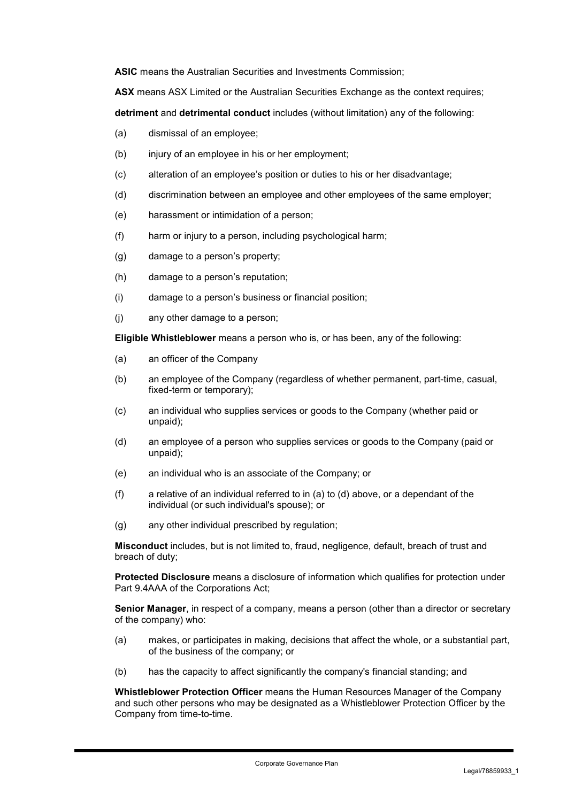**ASIC** means the Australian Securities and Investments Commission;

**ASX** means ASX Limited or the Australian Securities Exchange as the context requires;

**detriment** and **detrimental conduct** includes (without limitation) any of the following:

- (a) dismissal of an employee;
- (b) injury of an employee in his or her employment;
- (c) alteration of an employee's position or duties to his or her disadvantage;
- (d) discrimination between an employee and other employees of the same employer;
- (e) harassment or intimidation of a person;
- (f) harm or injury to a person, including psychological harm;
- (g) damage to a person's property;
- (h) damage to a person's reputation;
- (i) damage to a person's business or financial position;
- (j) any other damage to a person;

**Eligible Whistleblower** means a person who is, or has been, any of the following:

- (a) an officer of the Company
- (b) an employee of the Company (regardless of whether permanent, part-time, casual, fixed-term or temporary);
- (c) an individual who supplies services or goods to the Company (whether paid or unpaid);
- (d) an employee of a person who supplies services or goods to the Company (paid or unpaid);
- (e) an individual who is an associate of the Company; or
- (f) a relative of an individual referred to in (a) to (d) above, or a dependant of the individual (or such individual's spouse); or
- (g) any other individual prescribed by regulation;

**Misconduct** includes, but is not limited to, fraud, negligence, default, breach of trust and breach of duty;

**Protected Disclosure** means a disclosure of information which qualifies for protection under Part 9.4AAA of the Corporations Act;

**Senior Manager**, in respect of a company, means a person (other than a director or secretary of the company) who:

- (a) makes, or participates in making, decisions that affect the whole, or a substantial part, of the business of the company; or
- (b) has the capacity to affect significantly the company's financial standing; and

**Whistleblower Protection Officer** means the Human Resources Manager of the Company and such other persons who may be designated as a Whistleblower Protection Officer by the Company from time-to-time.